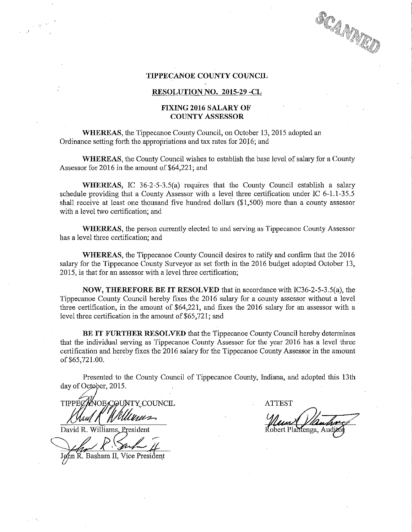## SCAMMAN

## .TIPPECANOE COUNTY COUNCIL

## RESOLUTION NO. 2015-29 -CL

## FIXING 2016 SALARY OF COUNTY ASSESSOR

WHEREAS, the Tippecanoe County Council, on October 13, 2015 adopted an Ordinance setting forth the appropriations and tax rates for 2016; and

WHEREAS, the County Council wishes to establish the base level of salary for <sup>a</sup> County Assessor for 2016 in the amount of \$64,221; and

WHEREAS, IC 36-2-5-3.5(a) requires that the County Council establish a salary schedule providing that a County Assessor with a level three certification under IC  $6-1.1-35.5$ shall receive at least one thousand five hundred dollars (\$1,500) more than <sup>a</sup> county assessor with <sup>a</sup> level two certification; and

WHEREAS, the person currently elected to and serving as Tippecanoe County Assessor has a level three certification; and

WHEREAS, the Tippecanoe County Council desires to ratify and confirm that the 2016 salary for the Tippecanoe County Surveyor as set forth in the 2016 budget adopted October 13, 2015, is that for an assessor with <sup>a</sup> level three certification;

NOW, THEREFORE BE IT RESOLVED that in accordance with IC36-2-5-3.5(a), the Tippecanoe County Council hereby fixes the 2016 salary for <sup>a</sup> county assessor without <sup>a</sup> level \_ three certification, in the amount of \$6422], and fixes the 2016 salary for an assessor with <sup>a</sup> level three certification in the amount of \$65,721; and

BE IT FURTHER RESOLVED. that the Tippecanoe County Council hereby determines that the individual serving as Tippecanoe County Assessor for the year 2016 has a level three certification and hereby fixes the 2016 salary for the Tippecanoe County Assessor in the amount of \$65,721.00.

Presented to the County Council of Tippecanoe County, Indiana, and adopted this 13th day of October, 2015.

o . TY'FCOUNCIL . ATTEST **TIPPF** Mullima

David R. Williams, President

Jelan R. Surla II John R. Basham II, Vice President

Plantenga, Auc